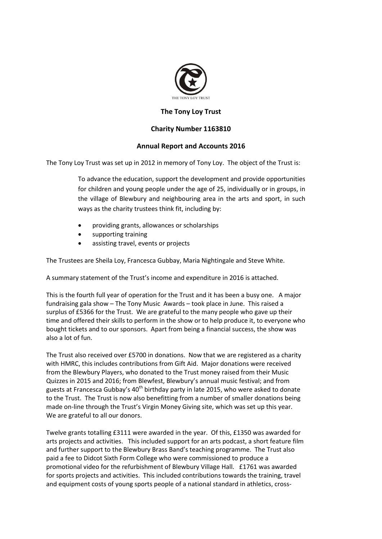

## **The Tony Loy Trust**

## **Charity Number 1163810**

## **Annual Report and Accounts 2016**

The Tony Loy Trust was set up in 2012 in memory of Tony Loy. The object of the Trust is:

To advance the education, support the development and provide opportunities for children and young people under the age of 25, individually or in groups, in the village of Blewbury and neighbouring area in the arts and sport, in such ways as the charity trustees think fit, including by:

- providing grants, allowances or scholarships
- supporting training
- assisting travel, events or projects

The Trustees are Sheila Loy, Francesca Gubbay, Maria Nightingale and Steve White.

A summary statement of the Trust's income and expenditure in 2016 is attached.

This is the fourth full year of operation for the Trust and it has been a busy one. A major fundraising gala show – The Tony Music Awards – took place in June. This raised a surplus of £5366 for the Trust. We are grateful to the many people who gave up their time and offered their skills to perform in the show or to help produce it, to everyone who bought tickets and to our sponsors. Apart from being a financial success, the show was also a lot of fun.

The Trust also received over £5700 in donations. Now that we are registered as a charity with HMRC, this includes contributions from Gift Aid. Major donations were received from the Blewbury Players, who donated to the Trust money raised from their Music Quizzes in 2015 and 2016; from Blewfest, Blewbury's annual music festival; and from guests at Francesca Gubbay's  $40<sup>th</sup>$  birthday party in late 2015, who were asked to donate to the Trust. The Trust is now also benefitting from a number of smaller donations being made on-line through the Trust's Virgin Money Giving site, which was set up this year. We are grateful to all our donors.

Twelve grants totalling £3111 were awarded in the year. Of this, £1350 was awarded for arts projects and activities. This included support for an arts podcast, a short feature film and further support to the Blewbury Brass Band's teaching programme. The Trust also paid a fee to Didcot Sixth Form College who were commissioned to produce a promotional video for the refurbishment of Blewbury Village Hall. £1761 was awarded for sports projects and activities. This included contributions towards the training, travel and equipment costs of young sports people of a national standard in athletics, cross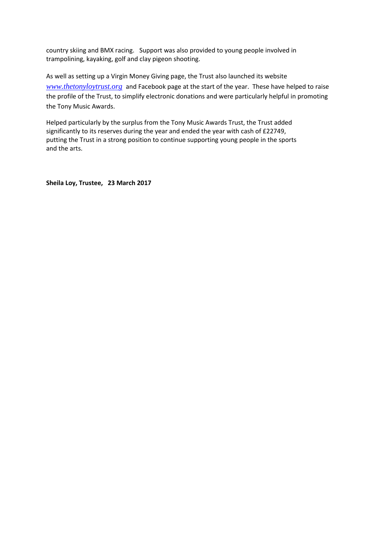country skiing and BMX racing. Support was also provided to young people involved in trampolining, kayaking, golf and clay pigeon shooting.

As well as setting up a Virgin Money Giving page, the Trust also launched its website *[www.thetonyloytrust.org](http://www.thetonyloytrust.org/)* and Facebook page at the start of the year. These have helped to raise the profile of the Trust, to simplify electronic donations and were particularly helpful in promoting the Tony Music Awards.

Helped particularly by the surplus from the Tony Music Awards Trust, the Trust added significantly to its reserves during the year and ended the year with cash of £22749, putting the Trust in a strong position to continue supporting young people in the sports and the arts.

**Sheila Loy, Trustee, 23 March 2017**